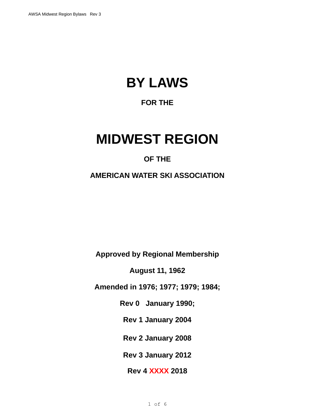# **BY LAWS**

# **FOR THE**

# **MIDWEST REGION**

# **OF THE**

**AMERICAN WATER SKI ASSOCIATION**

**Approved by Regional Membership**

**August 11, 1962**

**Amended in 1976; 1977; 1979; 1984;**

**Rev 0 January 1990;**

**Rev 1 January 2004**

**Rev 2 January 2008**

**Rev 3 January 2012**

**Rev 4 XXXX 2018**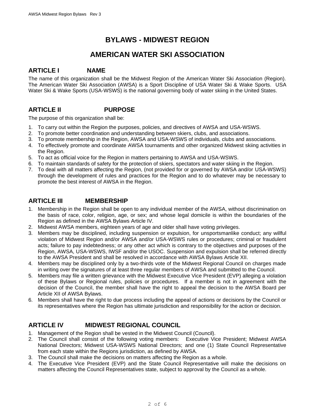# **BYLAWS - MIDWEST REGION**

# **AMERICAN WATER SKI ASSOCIATION**

#### **ARTICLE I NAME**

The name of this organization shall be the Midwest Region of the American Water Ski Association (Region). The American Water Ski Association (AWSA) is a Sport Discipline of USA Water Ski & Wake Sports. USA Water Ski & Wake Sports (USA-WSWS) is the national governing body of water skiing in the United States.

# **ARTICLE II PURPOSE**

The purpose of this organization shall be:

- 1. To carry out within the Region the purposes, policies, and directives of AWSA and USA-WSWS.
- 2. To promote better coordination and understanding between skiers, clubs, and associations.
- 3. To promote membership in the Region, AWSA and USA-WSWS of individuals, clubs and associations.
- 4. To effectively promote and coordinate AWSA tournaments and other organized Midwest skiing activities in the Region.
- 5. To act as official voice for the Region in matters pertaining to AWSA and USA-WSWS.
- 6. To maintain standards of safety for the protection of skiers, spectators and water skiing in the Region.
- 7. To deal with all matters affecting the Region, (not provided for or governed by AWSA and/or USA-WSWS) through the development of rules and practices for the Region and to do whatever may be necessary to promote the best interest of AWSA in the Region.

## **ARTICLE III MEMBERSHIP**

- 1. Membership in the Region shall be open to any individual member of the AWSA, without discrimination on the basis of race, color, religion, age, or sex; and whose legal domicile is within the boundaries of the Region as defined in the AWSA Bylaws Article IV.
- 2. Midwest AWSA members, eighteen years of age and older shall have voting privileges.
- 3. Members may be disciplined, including suspension or expulsion, for unsportsmanlike conduct; any willful violation of Midwest Region and/or AWSA and/or USA-WSWS rules or procedures; criminal or fraudulent acts; failure to pay indebtedness; or any other act which is contrary to the objectives and purposes of the Region, AWSA, USA-WSWS, IWSF and/or the USOC. Suspension and expulsion shall be referred directly to the AWSA President and shall be resolved in accordance with AWSA Bylaws Article XII.
- 4. Members may be disciplined only by a two-thirds vote of the Midwest Regional Council on charges made in writing over the signatures of at least three regular members of AWSA and submitted to the Council.
- 5. Members may file a written grievance with the Midwest Executive Vice President (EVP) alleging a violation of these Bylaws or Regional rules, policies or procedures. If a member is not in agreement with the decision of the Council, the member shall have the right to appeal the decision to the AWSA Board per Article XII of AWSA Bylaws.
- 6. Members shall have the right to due process including the appeal of actions or decisions by the Council or its representatives where the Region has ultimate jurisdiction and responsibility for the action or decision.

## **ARTICLE IV MIDWEST REGIONAL COUNCIL**

- 1. Management of the Region shall be vested in the Midwest Council (Council).
- 2. The Council shall consist of the following voting members: Executive Vice President; Midwest AWSA National Directors; Midwest USA-WSWS National Directors; and one (1) State Council Representative from each state within the Regions jurisdiction, as defined by AWSA.
- 3. The Council shall make the decisions on matters affecting the Region as a whole.
- 4. The Executive Vice President (EVP) and the State Council Representative will make the decisions on matters affecting the Council Representatives state, subject to approval by the Council as a whole.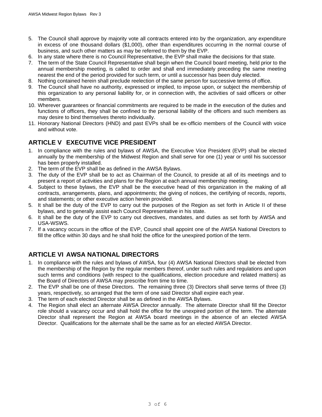- 5. The Council shall approve by majority vote all contracts entered into by the organization, any expenditure in excess of one thousand dollars (\$1,000), other than expenditures occurring in the normal course of business, and such other matters as may be referred to them by the EVP.
- 6. In any state where there is no Council Representative, the EVP shall make the decisions for that state.
- 7. The term of the State Council Representative shall begin when the Council board meeting, held prior to the annual membership meeting, is called to order and shall end immediately preceding the same meeting nearest the end of the period provided for such term, or until a successor has been duly elected.
- 8. Nothing contained herein shall preclude reelection of the same person for successive terms of office.
- 9. The Council shall have no authority, expressed or implied, to impose upon, or subject the membership of this organization to any personal liability for, or in connection with, the activities of said officers or other members.
- 10. Wherever guarantees or financial commitments are required to be made in the execution of the duties and functions of officers, they shall be confined to the personal liability of the officers and such members as may desire to bind themselves thereto individually.
- 11. Honorary National Directors (HND) and past EVPs shall be ex-officio members of the Council with voice and without vote.

#### **ARTICLE V EXECUTIVE VICE PRESIDENT**

- 1. In compliance with the rules and bylaws of AWSA, the Executive Vice President (EVP) shall be elected annually by the membership of the Midwest Region and shall serve for one (1) year or until his successor has been properly installed.
- 2. The term of the EVP shall be as defined in the AWSA Bylaws.
- 3. The duty of the EVP shall be to act as Chairman of the Council, to preside at all of its meetings and to present a report of activities and plans for the Region at each annual membership meeting.
- 4. Subject to these bylaws, the EVP shall be the executive head of this organization in the making of all contracts, arrangements, plans, and appointments; the giving of notices, the certifying of records, reports, and statements; or other executive action herein provided.
- 5. It shall be the duty of the EVP to carry out the purposes of the Region as set forth in Article II of these bylaws, and to generally assist each Council Representative in his state.
- 6. It shall be the duty of the EVP to carry out directives, mandates, and duties as set forth by AWSA and USA-WSWS.
- 7. If a vacancy occurs in the office of the EVP, Council shall appoint one of the AWSA National Directors to fill the office within 30 days and he shall hold the office for the unexpired portion of the term.

## **ARTICLE VI AWSA NATIONAL DIRECTORS**

- 1. In compliance with the rules and bylaws of AWSA, four (4) AWSA National Directors shall be elected from the membership of the Region by the regular members thereof, under such rules and regulations and upon such terms and conditions (with respect to the qualifications, election procedure and related matters) as the Board of Directors of AWSA may prescribe from time to time.
- 2. The EVP shall be one of these Directors. The remaining three (3) Directors shall serve terms of three (3) years, respectively, so arranged that the term of one said Director shall expire each year.
- 3. The term of each elected Director shall be as defined in the AWSA Bylaws.
- 4. The Region shall elect an alternate AWSA Director annually. The alternate Director shall fill the Director role should a vacancy occur and shall hold the office for the unexpired portion of the term. The alternate Director shall represent the Region at AWSA board meetings in the absence of an elected AWSA Director. Qualifications for the alternate shall be the same as for an elected AWSA Director.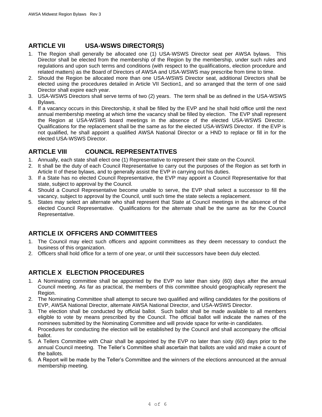# **ARTICLE VII USA-WSWS DIRECTOR(S)**

- 1. The Region shall generally be allocated one (1) USA-WSWS Director seat per AWSA bylaws. This Director shall be elected from the membership of the Region by the membership, under such rules and regulations and upon such terms and conditions (with respect to the qualifications, election procedure and related matters) as the Board of Directors of AWSA and USA-WSWS may prescribe from time to time.
- 2. Should the Region be allocated more than one USA-WSWS Director seat, additional Directors shall be elected using the procedures detailed in Article VII Section1, and so arranged that the term of one said Director shall expire each year.
- 3. USA-WSWS Directors shall serve terms of two (2) years. The term shall be as defined in the USA-WSWS Bylaws.
- 4. If a vacancy occurs in this Directorship, it shall be filled by the EVP and he shall hold office until the next annual membership meeting at which time the vacancy shall be filled by election. The EVP shall represent the Region at USA-WSWS board meetings in the absence of the elected USA-WSWS Director. Qualifications for the replacement shall be the same as for the elected USA-WSWS Director. If the EVP is not qualified, he shall appoint a qualified AWSA National Director or a HND to replace or fill in for the elected USA-WSWS Director.

## **ARTICLE VIII COUNCIL REPRESENTATIVES**

- 1. Annually, each state shall elect one (1) Representative to represent their state on the Council.
- 2. It shall be the duty of each Council Representative to carry out the purposes of the Region as set forth in Article II of these bylaws, and to generally assist the EVP in carrying out his duties.
- 3. If a State has no elected Council Representative, the EVP may appoint a Council Representative for that state, subject to approval by the Council.
- 4. Should a Council Representative become unable to serve, the EVP shall select a successor to fill the vacancy, subject to approval by the Council, until such time the state selects a replacement.
- 5. States may select an alternate who shall represent that State at Council meetings in the absence of the elected Council Representative. Qualifications for the alternate shall be the same as for the Council Representative.

# **ARTICLE IX OFFICERS AND COMMITTEES**

- 1. The Council may elect such officers and appoint committees as they deem necessary to conduct the business of this organization.
- 2. Officers shall hold office for a term of one year, or until their successors have been duly elected.

# **ARTICLE X ELECTION PROCEDURES**

- 1. A Nominating committee shall be appointed by the EVP no later than sixty (60) days after the annual Council meeting. As far as practical, the members of this committee should geographically represent the Region.
- 2. The Nominating Committee shall attempt to secure two qualified and willing candidates for the positions of EVP, AWSA National Director, alternate AWSA National Director, and USA-WSWS Director.
- 3. The election shall be conducted by official ballot. Such ballot shall be made available to all members eligible to vote by means prescribed by the Council. The official ballot will indicate the names of the nominees submitted by the Nominating Committee and will provide space for write-in candidates.
- 4. Procedures for conducting the election will be established by the Council and shall accompany the official ballot.
- 5. A Tellers Committee with Chair shall be appointed by the EVP no later than sixty (60) days prior to the annual Council meeting. The Teller's Committee shall ascertain that ballots are valid and make a count of the ballots.
- 6. A Report will be made by the Teller's Committee and the winners of the elections announced at the annual membership meeting.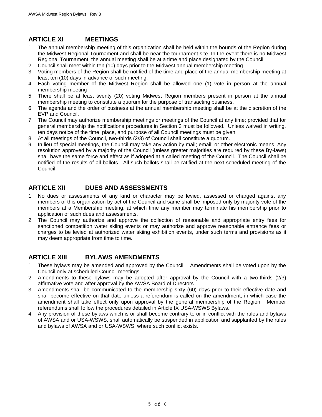# **ARTICLE XI MEETINGS**

- 1. The annual membership meeting of this organization shall be held within the bounds of the Region during the Midwest Regional Tournament and shall be near the tournament site. In the event there is no Midwest Regional Tournament, the annual meeting shall be at a time and place designated by the Council.
- 2. Council shall meet within ten (10) days prior to the Midwest annual membership meeting.
- 3. Voting members of the Region shall be notified of the time and place of the annual membership meeting at least ten (10) days in advance of such meeting.
- 4. Each voting member of the Midwest Region shall be allowed one (1) vote in person at the annual membership meeting
- 5. There shall be at least twenty (20) voting Midwest Region members present in person at the annual membership meeting to constitute a quorum for the purpose of transacting business.
- 6. The agenda and the order of business at the annual membership meeting shall be at the discretion of the EVP and Council.
- 7. The Council may authorize membership meetings or meetings of the Council at any time; provided that for general membership the notifications procedures in Section 3 must be followed. Unless waived in writing, ten days notice of the time, place, and purpose of all Council meetings must be given.
- 8. At all meetings of the Council, two-thirds (2/3) of Council shall constitute a quorum.
- 9. In lieu of special meetings, the Council may take any action by mail; email; or other electronic means. Any resolution approved by a majority of the Council (unless greater majorities are required by these By-laws) shall have the same force and effect as if adopted at a called meeting of the Council. The Council shall be notified of the results of all ballots. All such ballots shall be ratified at the next scheduled meeting of the Council.

# **ARTICLE XII DUES AND ASSESSMENTS**

- 1. No dues or assessments of any kind or character may be levied, assessed or charged against any members of this organization by act of the Council and same shall be imposed only by majority vote of the members at a Membership meeting, at which time any member may terminate his membership prior to application of such dues and assessments.
- 2. The Council may authorize and approve the collection of reasonable and appropriate entry fees for sanctioned competition water skiing events or may authorize and approve reasonable entrance fees or charges to be levied at authorized water skiing exhibition events, under such terms and provisions as it may deem appropriate from time to time.

## **ARTICLE XIII BYLAWS AMENDMENTS**

- 1. These bylaws may be amended and approved by the Council. Amendments shall be voted upon by the Council only at scheduled Council meetings.
- 2. Amendments to these bylaws may be adopted after approval by the Council with a two-thirds (2/3) affirmative vote and after approval by the AWSA Board of Directors.
- 3. Amendments shall be communicated to the membership sixty (60) days prior to their effective date and shall become effective on that date unless a referendum is called on the amendment, in which case the amendment shall take effect only upon approval by the general membership of the Region. Member referendums shall follow the procedures detailed in Article IX USA-WSWS Bylaws.
- 4. Any provision of these bylaws which is or shall become contrary to or in conflict with the rules and bylaws of AWSA and or USA-WSWS, shall automatically be suspended in application and supplanted by the rules and bylaws of AWSA and or USA-WSWS, where such conflict exists.